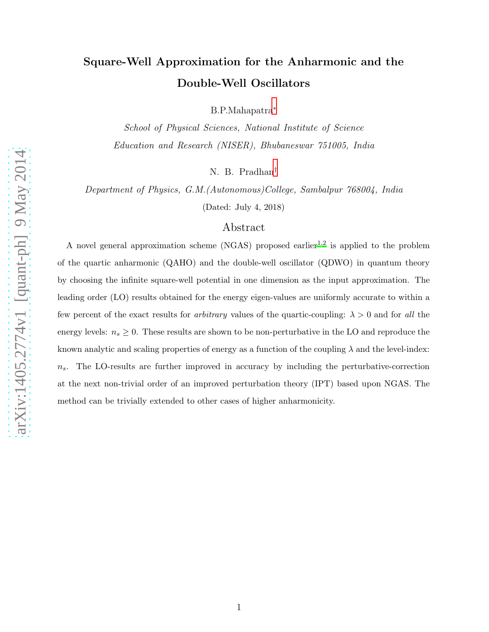# Square-Well Approximation for the Anharmonic and the Double-Well Oscillators

B.P.Mahapatra[∗](#page-12-0)

School of Physical Sciences, National Institute of Science Education and Research (NISER), Bhubaneswar 751005, India

N. B. Pradhan[†](#page-12-1)

Department of Physics, G.M.(Autonomous)College, Sambalpur 768004, India

(Dated: July 4, 2018)

# Abstract

A novel general approximation scheme (NGAS) proposed earlier<sup>[1](#page-12-2)[,2](#page-12-3)</sup> is applied to the problem of the quartic anharmonic (QAHO) and the double-well oscillator (QDWO) in quantum theory by choosing the infinite square-well potential in one dimension as the input approximation. The leading order (LO) results obtained for the energy eigen-values are uniformly accurate to within a few percent of the exact results for *arbitrary* values of the quartic-coupling:  $\lambda > 0$  and for all the energy levels:  $n_s \geq 0$ . These results are shown to be non-perturbative in the LO and reproduce the known analytic and scaling properties of energy as a function of the coupling  $\lambda$  and the level-index:  $n<sub>s</sub>$ . The LO-results are further improved in accuracy by including the perturbative-correction at the next non-trivial order of an improved perturbation theory (IPT) based upon NGAS. The method can be trivially extended to other cases of higher anharmonicity.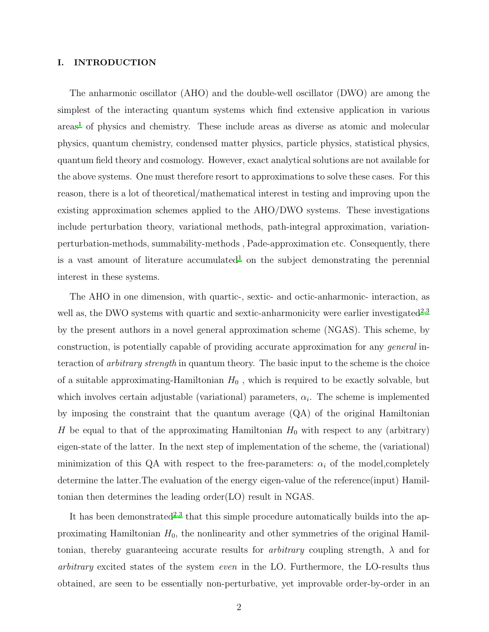### I. INTRODUCTION

The anharmonic oscillator (AHO) and the double-well oscillator (DWO) are among the simplest of the interacting quantum systems which find extensive application in various  $\arccos<sup>1</sup>$  $\arccos<sup>1</sup>$  $\arccos<sup>1</sup>$  of physics and chemistry. These include areas as diverse as atomic and molecular physics, quantum chemistry, condensed matter physics, particle physics, statistical physics, quantum field theory and cosmology. However, exact analytical solutions are not available for the above systems. One must therefore resort to approximations to solve these cases. For this reason, there is a lot of theoretical/mathematical interest in testing and improving upon the existing approximation schemes applied to the AHO/DWO systems. These investigations include perturbation theory, variational methods, path-integral approximation, variationperturbation-methods, summability-methods , Pade-approximation etc. Consequently, there is a vast amount of literature accumulated<sup>[1](#page-12-2)</sup> on the subject demonstrating the perennial interest in these systems.

The AHO in one dimension, with quartic-, sextic- and octic-anharmonic- interaction, as well as, the DWO systems with quartic and sextic-anharmonicity were earlier investigated<sup>[2](#page-12-3)[,3](#page-12-4)</sup> by the present authors in a novel general approximation scheme (NGAS). This scheme, by construction, is potentially capable of providing accurate approximation for any general interaction of arbitrary strength in quantum theory. The basic input to the scheme is the choice of a suitable approximating-Hamiltonian  $H_0$ , which is required to be exactly solvable, but which involves certain adjustable (variational) parameters,  $\alpha_i$ . The scheme is implemented by imposing the constraint that the quantum average (QA) of the original Hamiltonian H be equal to that of the approximating Hamiltonian  $H_0$  with respect to any (arbitrary) eigen-state of the latter. In the next step of implementation of the scheme, the (variational) minimization of this QA with respect to the free-parameters:  $\alpha_i$  of the model,completely determine the latter.The evaluation of the energy eigen-value of the reference(input) Hamiltonian then determines the leading order(LO) result in NGAS.

It has been demonstrated<sup>[2](#page-12-3)[,3](#page-12-4)</sup> that this simple procedure automatically builds into the approximating Hamiltonian  $H_0$ , the nonlinearity and other symmetries of the original Hamiltonian, thereby guaranteeing accurate results for *arbitrary* coupling strength,  $\lambda$  and for arbitrary excited states of the system even in the LO. Furthermore, the LO-results thus obtained, are seen to be essentially non-perturbative, yet improvable order-by-order in an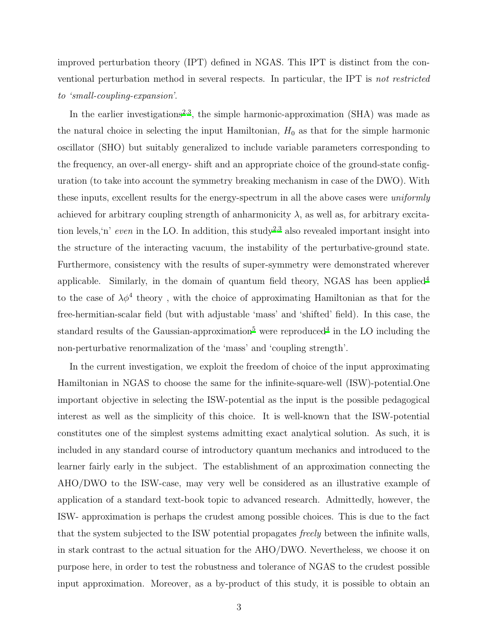improved perturbation theory (IPT) defined in NGAS. This IPT is distinct from the conventional perturbation method in several respects. In particular, the IPT is not restricted to 'small-coupling-expansion'.

In the earlier investigations<sup>[2](#page-12-3)[,3](#page-12-4)</sup>, the simple harmonic-approximation (SHA) was made as the natural choice in selecting the input Hamiltonian,  $H_0$  as that for the simple harmonic oscillator (SHO) but suitably generalized to include variable parameters corresponding to the frequency, an over-all energy- shift and an appropriate choice of the ground-state configuration (to take into account the symmetry breaking mechanism in case of the DWO). With these inputs, excellent results for the energy-spectrum in all the above cases were uniformly achieved for arbitrary coupling strength of anharmonicity  $\lambda$ , as well as, for arbitrary excita-tion levels,'n' even in the LO. In addition, this study<sup>[2](#page-12-3)[,3](#page-12-4)</sup> also revealed important insight into the structure of the interacting vacuum, the instability of the perturbative-ground state. Furthermore, consistency with the results of super-symmetry were demonstrated wherever applicable. Similarly, in the domain of quantum field theory, NGAS has been applied<sup>[4](#page-12-5)</sup> to the case of  $\lambda \phi^4$  theory, with the choice of approximating Hamiltonian as that for the free-hermitian-scalar field (but with adjustable 'mass' and 'shifted' field). In this case, the standard results of the Gaussian-approximation<sup>[5](#page-13-0)</sup> were reproduced<sup>[4](#page-12-5)</sup> in the LO including the non-perturbative renormalization of the 'mass' and 'coupling strength'.

In the current investigation, we exploit the freedom of choice of the input approximating Hamiltonian in NGAS to choose the same for the infinite-square-well (ISW)-potential.One important objective in selecting the ISW-potential as the input is the possible pedagogical interest as well as the simplicity of this choice. It is well-known that the ISW-potential constitutes one of the simplest systems admitting exact analytical solution. As such, it is included in any standard course of introductory quantum mechanics and introduced to the learner fairly early in the subject. The establishment of an approximation connecting the AHO/DWO to the ISW-case, may very well be considered as an illustrative example of application of a standard text-book topic to advanced research. Admittedly, however, the ISW- approximation is perhaps the crudest among possible choices. This is due to the fact that the system subjected to the ISW potential propagates freely between the infinite walls, in stark contrast to the actual situation for the AHO/DWO. Nevertheless, we choose it on purpose here, in order to test the robustness and tolerance of NGAS to the crudest possible input approximation. Moreover, as a by-product of this study, it is possible to obtain an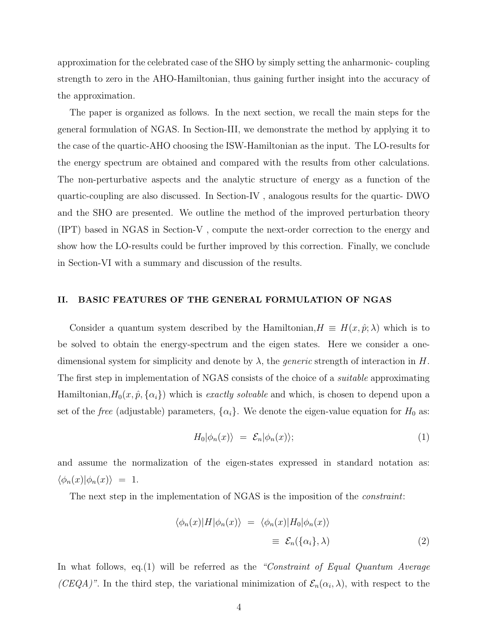approximation for the celebrated case of the SHO by simply setting the anharmonic- coupling strength to zero in the AHO-Hamiltonian, thus gaining further insight into the accuracy of the approximation.

The paper is organized as follows. In the next section, we recall the main steps for the general formulation of NGAS. In Section-III, we demonstrate the method by applying it to the case of the quartic-AHO choosing the ISW-Hamiltonian as the input. The LO-results for the energy spectrum are obtained and compared with the results from other calculations. The non-perturbative aspects and the analytic structure of energy as a function of the quartic-coupling are also discussed. In Section-IV , analogous results for the quartic- DWO and the SHO are presented. We outline the method of the improved perturbation theory (IPT) based in NGAS in Section-V , compute the next-order correction to the energy and show how the LO-results could be further improved by this correction. Finally, we conclude in Section-VI with a summary and discussion of the results.

#### II. BASIC FEATURES OF THE GENERAL FORMULATION OF NGAS

Consider a quantum system described by the Hamiltonian,  $H \equiv H(x, \hat{p}; \lambda)$  which is to be solved to obtain the energy-spectrum and the eigen states. Here we consider a onedimensional system for simplicity and denote by  $\lambda$ , the *generic* strength of interaction in H. The first step in implementation of NGAS consists of the choice of a *suitable* approximating Hamiltonian,  $H_0(x, \hat{p}, \{\alpha_i\})$  which is *exactly solvable* and which, is chosen to depend upon a set of the *free* (adjustable) parameters,  $\{\alpha_i\}$ . We denote the eigen-value equation for  $H_0$  as:

$$
H_0|\phi_n(x)\rangle = \mathcal{E}_n|\phi_n(x)\rangle; \tag{1}
$$

and assume the normalization of the eigen-states expressed in standard notation as:  $\langle \phi_n(x)|\phi_n(x)\rangle = 1.$ 

The next step in the implementation of NGAS is the imposition of the *constraint*:

<span id="page-3-0"></span>
$$
\langle \phi_n(x)|H|\phi_n(x)\rangle = \langle \phi_n(x)|H_0|\phi_n(x)\rangle
$$
  

$$
\equiv \mathcal{E}_n(\{\alpha_i\}, \lambda)
$$
 (2)

In what follows, eq.(1) will be referred as the "Constraint of Equal Quantum Average (CEQA)". In the third step, the variational minimization of  $\mathcal{E}_n(\alpha_i, \lambda)$ , with respect to the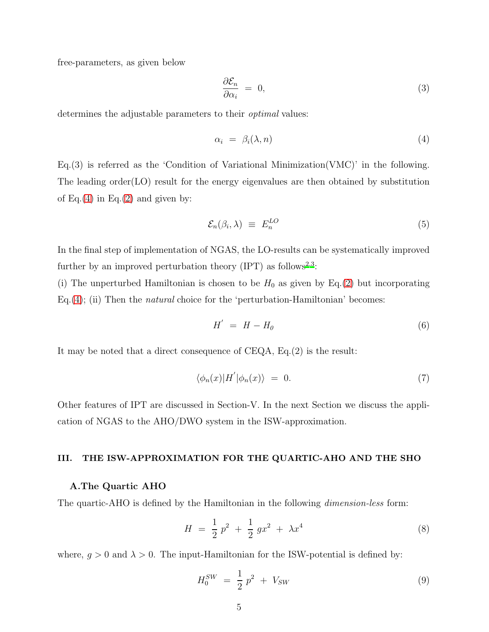free-parameters, as given below

$$
\frac{\partial \mathcal{E}_n}{\partial \alpha_i} = 0,\tag{3}
$$

determines the adjustable parameters to their *optimal* values:

<span id="page-4-0"></span>
$$
\alpha_i = \beta_i(\lambda, n) \tag{4}
$$

Eq.(3) is referred as the 'Condition of Variational Minimization(VMC)' in the following. The leading order $(LO)$  result for the energy eigenvalues are then obtained by substitution of Eq.[\(4\)](#page-4-0) in Eq.[\(2\)](#page-3-0) and given by:

$$
\mathcal{E}_n(\beta_i, \lambda) \equiv E_n^{LO} \tag{5}
$$

In the final step of implementation of NGAS, the LO-results can be systematically improved further by an improved perturbation theory  $(IPT)$  as follows<sup>[2](#page-12-3)[,3](#page-12-4)</sup>:

(i) The unperturbed Hamiltonian is chosen to be  $H_0$  as given by Eq.[\(2\)](#page-3-0) but incorporating Eq.[\(4\)](#page-4-0); (ii) Then the *natural* choice for the 'perturbation-Hamiltonian' becomes:

$$
H' = H - H_0 \tag{6}
$$

It may be noted that a direct consequence of CEQA, Eq.(2) is the result:

$$
\langle \phi_n(x) | H' | \phi_n(x) \rangle = 0. \tag{7}
$$

Other features of IPT are discussed in Section-V. In the next Section we discuss the application of NGAS to the AHO/DWO system in the ISW-approximation.

# III. THE ISW-APPROXIMATION FOR THE QUARTIC-AHO AND THE SHO

### A.The Quartic AHO

The quartic-AHO is defined by the Hamiltonian in the following *dimension-less* form:

$$
H = \frac{1}{2}p^2 + \frac{1}{2}gx^2 + \lambda x^4 \tag{8}
$$

where,  $g > 0$  and  $\lambda > 0$ . The input-Hamiltonian for the ISW-potential is defined by:

$$
H_0^{SW} = \frac{1}{2} p^2 + V_{SW}
$$
 (9)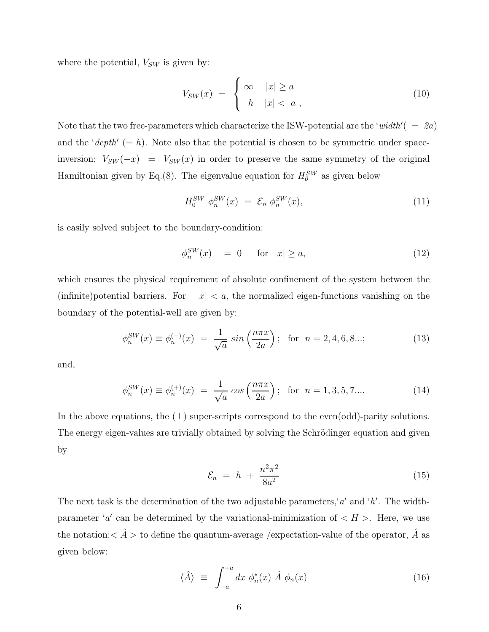where the potential,  $V_{SW}$  is given by:

$$
V_{SW}(x) = \begin{cases} \infty & |x| \ge a \\ h & |x| < a \end{cases} \tag{10}
$$

Note that the two free-parameters which characterize the ISW-potential are the 'width'  $( = 2a)$ and the ' $depth' (= h)$ . Note also that the potential is chosen to be symmetric under spaceinversion:  $V_{SW}(-x) = V_{SW}(x)$  in order to preserve the same symmetry of the original Hamiltonian given by Eq.(8). The eigenvalue equation for  $H_0^{SW}$  as given below

$$
H_0^{SW} \phi_n^{SW}(x) = \mathcal{E}_n \phi_n^{SW}(x), \qquad (11)
$$

is easily solved subject to the boundary-condition:

$$
\phi_n^{SW}(x) = 0 \quad \text{for } |x| \ge a,\tag{12}
$$

which ensures the physical requirement of absolute confinement of the system between the (infinite)potential barriers. For  $|x| < a$ , the normalized eigen-functions vanishing on the boundary of the potential-well are given by:

$$
\phi_n^{SW}(x) \equiv \phi_n^{(-)}(x) = \frac{1}{\sqrt{a}} \sin\left(\frac{n\pi x}{2a}\right); \text{ for } n = 2, 4, 6, 8...; \tag{13}
$$

and,

$$
\phi_n^{SW}(x) \equiv \phi_n^{(+)}(x) = \frac{1}{\sqrt{a}} \cos\left(\frac{n\pi x}{2a}\right); \text{ for } n = 1, 3, 5, 7.... \tag{14}
$$

In the above equations, the  $(\pm)$  super-scripts correspond to the even(odd)-parity solutions. The energy eigen-values are trivially obtained by solving the Schrödinger equation and given by

$$
\mathcal{E}_n = h + \frac{n^2 \pi^2}{8a^2} \tag{15}
$$

The next task is the determination of the two adjustable parameters,  $a'$  and  $'h'$ . The widthparameter 'a' can be determined by the variational-minimization of  $\langle H \rangle$ . Here, we use the notation: $< \hat{A} >$  to define the quantum-average /expectation-value of the operator,  $\hat{A}$  as given below:

<span id="page-5-0"></span>
$$
\langle \hat{A} \rangle \equiv \int_{-a}^{+a} dx \; \phi_n^*(x) \; \hat{A} \; \phi_n(x) \tag{16}
$$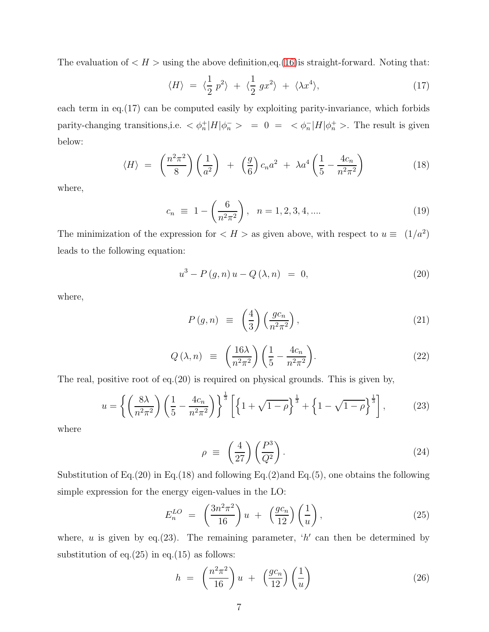The evaluation of  $\langle H \rangle$  using the above definition, eq. [\(16\)](#page-5-0) is straight-forward. Noting that:

$$
\langle H \rangle = \langle \frac{1}{2} p^2 \rangle + \langle \frac{1}{2} gx^2 \rangle + \langle \lambda x^4 \rangle, \tag{17}
$$

each term in eq.(17) can be computed easily by exploiting parity-invariance, which forbids parity-changing transitions, i.e.  $\langle \phi_n^+ | H | \phi_n^- \rangle = 0 = \langle \phi_n^- | H | \phi_n^+ \rangle$ . The result is given below:

$$
\langle H \rangle = \left(\frac{n^2 \pi^2}{8}\right) \left(\frac{1}{a^2}\right) + \left(\frac{g}{6}\right) c_n a^2 + \lambda a^4 \left(\frac{1}{5} - \frac{4c_n}{n^2 \pi^2}\right) \tag{18}
$$

where,

$$
c_n \equiv 1 - \left(\frac{6}{n^2 \pi^2}\right), \quad n = 1, 2, 3, 4, \dots
$$
 (19)

The minimization of the expression for  $\langle H \rangle$  as given above, with respect to  $u \equiv (1/a^2)$ leads to the following equation:

$$
u^{3} - P(g, n) u - Q(\lambda, n) = 0,
$$
\n(20)

where,

$$
P(g,n) \equiv \left(\frac{4}{3}\right) \left(\frac{gc_n}{n^2 \pi^2}\right),\tag{21}
$$

$$
Q\left(\lambda, n\right) \equiv \left(\frac{16\lambda}{n^2 \pi^2}\right) \left(\frac{1}{5} - \frac{4c_n}{n^2 \pi^2}\right). \tag{22}
$$

The real, positive root of eq.(20) is required on physical grounds. This is given by,

$$
u = \left\{ \left( \frac{8\lambda}{n^2 \pi^2} \right) \left( \frac{1}{5} - \frac{4c_n}{n^2 \pi^2} \right) \right\}^{\frac{1}{3}} \left[ \left\{ 1 + \sqrt{1 - \rho} \right\}^{\frac{1}{3}} + \left\{ 1 - \sqrt{1 - \rho} \right\}^{\frac{1}{3}} \right],
$$
 (23)

where

$$
\rho \equiv \left(\frac{4}{27}\right) \left(\frac{P^3}{Q^2}\right). \tag{24}
$$

Substitution of Eq.(20) in Eq.(18) and following Eq.(2)and Eq.(5), one obtains the following simple expression for the energy eigen-values in the LO:

$$
E_n^{LO} = \left(\frac{3n^2\pi^2}{16}\right)u + \left(\frac{gc_n}{12}\right)\left(\frac{1}{u}\right),\tag{25}
$$

where, u is given by eq.(23). The remaining parameter,  $'h'$  can then be determined by substitution of eq. $(25)$  in eq. $(15)$  as follows:

$$
h = \left(\frac{n^2 \pi^2}{16}\right) u + \left(\frac{gc_n}{12}\right) \left(\frac{1}{u}\right) \tag{26}
$$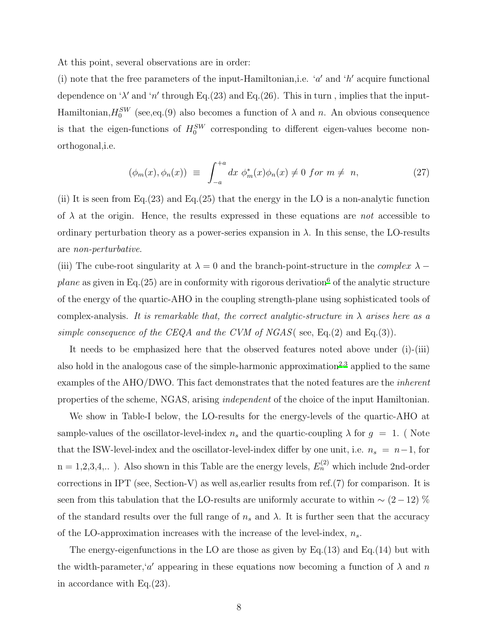At this point, several observations are in order:

(i) note that the free parameters of the input-Hamiltonian, i.e. ' $a'$  and ' $h'$  acquire functional dependence on ' $\lambda'$  and 'n' through Eq.(23) and Eq.(26). This in turn, implies that the input-Hamiltonian,  $H_0^{SW}$  (see, eq.(9) also becomes a function of  $\lambda$  and n. An obvious consequence is that the eigen-functions of  $H_0^{SW}$  corresponding to different eigen-values become nonorthogonal,i.e.

$$
(\phi_m(x), \phi_n(x)) \equiv \int_{-a}^{+a} dx \, \phi_m^*(x) \phi_n(x) \neq 0 \text{ for } m \neq n,
$$
 (27)

(ii) It is seen from Eq.  $(23)$  and Eq.  $(25)$  that the energy in the LO is a non-analytic function of  $\lambda$  at the origin. Hence, the results expressed in these equations are not accessible to ordinary perturbation theory as a power-series expansion in  $\lambda$ . In this sense, the LO-results are non-perturbative.

(iii) The cube-root singularity at  $\lambda = 0$  and the branch-point-structure in the *complex*  $\lambda$  – *plane* as given in Eq.(25) are in conformity with rigorous derivation<sup>[6](#page-13-1)</sup> of the analytic structure of the energy of the quartic-AHO in the coupling strength-plane using sophisticated tools of complex-analysis. It is remarkable that, the correct analytic-structure in  $\lambda$  arises here as a simple consequence of the CEQA and the CVM of NGAS (see, Eq. (2) and Eq. (3)).

It needs to be emphasized here that the observed features noted above under (i)-(iii) also hold in the analogous case of the simple-harmonic approximation<sup>[2](#page-12-3)[,3](#page-12-4)</sup> applied to the same examples of the AHO/DWO. This fact demonstrates that the noted features are the inherent properties of the scheme, NGAS, arising independent of the choice of the input Hamiltonian.

We show in Table-I below, the LO-results for the energy-levels of the quartic-AHO at sample-values of the oscillator-level-index  $n_s$  and the quartic-coupling  $\lambda$  for  $g = 1$ . (Note that the ISW-level-index and the oscillator-level-index differ by one unit, i.e.  $n_s = n-1$ , for  $n = 1,2,3,4,...$ ). Also shown in this Table are the energy levels,  $E_n^{(2)}$  which include 2nd-order corrections in IPT (see, Section-V) as well as,earlier results from ref.(7) for comparison. It is seen from this tabulation that the LO-results are uniformly accurate to within  $\sim (2-12)$  % of the standard results over the full range of  $n_s$  and  $\lambda$ . It is further seen that the accuracy of the LO-approximation increases with the increase of the level-index,  $n<sub>s</sub>$ .

The energy-eigenfunctions in the LO are those as given by  $Eq.(13)$  and  $Eq.(14)$  but with the width-parameter, 'a' appearing in these equations now becoming a function of  $\lambda$  and n in accordance with Eq.(23).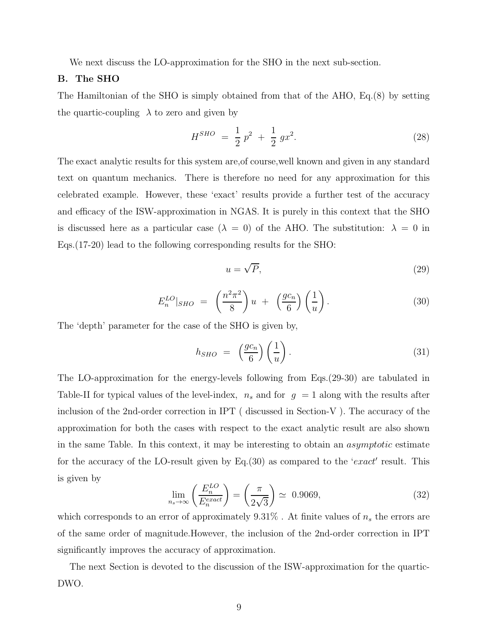We next discuss the LO-approximation for the SHO in the next sub-section.

## B. The SHO

The Hamiltonian of the SHO is simply obtained from that of the AHO, Eq.(8) by setting the quartic-coupling  $\lambda$  to zero and given by

$$
H^{SHO} = \frac{1}{2}p^2 + \frac{1}{2}gx^2.
$$
 (28)

The exact analytic results for this system are,of course,well known and given in any standard text on quantum mechanics. There is therefore no need for any approximation for this celebrated example. However, these 'exact' results provide a further test of the accuracy and efficacy of the ISW-approximation in NGAS. It is purely in this context that the SHO is discussed here as a particular case  $(\lambda = 0)$  of the AHO. The substitution:  $\lambda = 0$  in Eqs.(17-20) lead to the following corresponding results for the SHO:

$$
u = \sqrt{P},\tag{29}
$$

$$
E_n^{LO}|_{SHO} = \left(\frac{n^2 \pi^2}{8}\right)u + \left(\frac{gc_n}{6}\right)\left(\frac{1}{u}\right). \tag{30}
$$

The 'depth' parameter for the case of the SHO is given by,

$$
h_{SHO} = \left(\frac{gc_n}{6}\right)\left(\frac{1}{u}\right). \tag{31}
$$

The LO-approximation for the energy-levels following from Eqs.(29-30) are tabulated in Table-II for typical values of the level-index,  $n_s$  and for  $g = 1$  along with the results after inclusion of the 2nd-order correction in IPT ( discussed in Section-V ). The accuracy of the approximation for both the cases with respect to the exact analytic result are also shown in the same Table. In this context, it may be interesting to obtain an asymptotic estimate for the accuracy of the LO-result given by Eq.(30) as compared to the 'exact' result. This is given by

$$
\lim_{n_s \to \infty} \left( \frac{E_n^{LO}}{E_n^{exact}} \right) = \left( \frac{\pi}{2\sqrt{3}} \right) \simeq 0.9069,\tag{32}
$$

which corresponds to an error of approximately  $9.31\%$ . At finite values of  $n_s$  the errors are of the same order of magnitude.However, the inclusion of the 2nd-order correction in IPT significantly improves the accuracy of approximation.

The next Section is devoted to the discussion of the ISW-approximation for the quartic-DWO.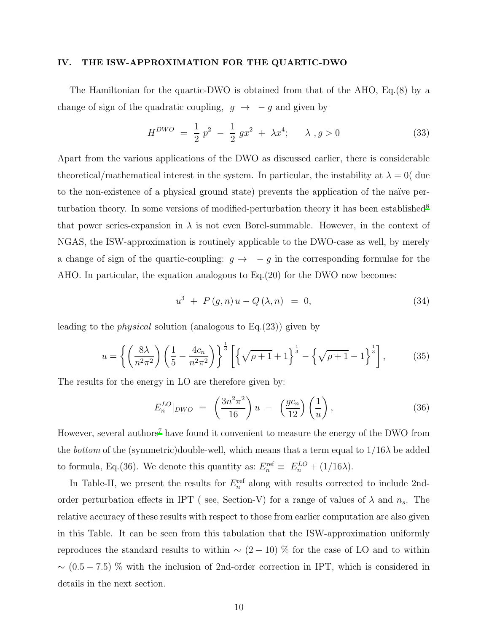#### IV. THE ISW-APPROXIMATION FOR THE QUARTIC-DWO

The Hamiltonian for the quartic-DWO is obtained from that of the AHO, Eq.(8) by a change of sign of the quadratic coupling,  $g \rightarrow -g$  and given by

$$
H^{DWO} = \frac{1}{2} p^2 - \frac{1}{2} g x^2 + \lambda x^4; \quad \lambda, g > 0
$$
 (33)

Apart from the various applications of the DWO as discussed earlier, there is considerable theoretical/mathematical interest in the system. In particular, the instability at  $\lambda = 0$  due to the non-existence of a physical ground state) prevents the application of the naïve per-turbation theory. In some versions of modified-perturbation theory it has been established<sup>[8](#page-13-2)</sup> that power series-expansion in  $\lambda$  is not even Borel-summable. However, in the context of NGAS, the ISW-approximation is routinely applicable to the DWO-case as well, by merely a change of sign of the quartic-coupling:  $g \rightarrow -g$  in the corresponding formulae for the AHO. In particular, the equation analogous to Eq.(20) for the DWO now becomes:

$$
u^{3} + P(g, n)u - Q(\lambda, n) = 0,
$$
\n(34)

leading to the physical solution (analogous to Eq.(23)) given by

$$
u = \left\{ \left( \frac{8\lambda}{n^2 \pi^2} \right) \left( \frac{1}{5} - \frac{4c_n}{n^2 \pi^2} \right) \right\}^{\frac{1}{3}} \left[ \left\{ \sqrt{\rho + 1} + 1 \right\}^{\frac{1}{3}} - \left\{ \sqrt{\rho + 1} - 1 \right\}^{\frac{1}{3}} \right],
$$
(35)

The results for the energy in LO are therefore given by:

$$
E_n^{LO}|_{DWO} = \left(\frac{3n^2\pi^2}{16}\right)u - \left(\frac{gc_n}{12}\right)\left(\frac{1}{u}\right),\tag{36}
$$

However, several authors<sup>[7](#page-13-3)</sup> have found it convenient to measure the energy of the DWO from the *bottom* of the (symmetric)double-well, which means that a term equal to  $1/16\lambda$  be added to formula, Eq.(36). We denote this quantity as:  $E_n^{\text{ref}} \equiv E_n^{LO} + (1/16\lambda)$ .

In Table-II, we present the results for  $E_n^{\text{ref}}$  along with results corrected to include 2ndorder perturbation effects in IPT (see, Section-V) for a range of values of  $\lambda$  and  $n_s$ . The relative accuracy of these results with respect to those from earlier computation are also given in this Table. It can be seen from this tabulation that the ISW-approximation uniformly reproduces the standard results to within  $\sim$  (2 − 10) % for the case of LO and to within  $\sim$  (0.5 − 7.5) % with the inclusion of 2nd-order correction in IPT, which is considered in details in the next section.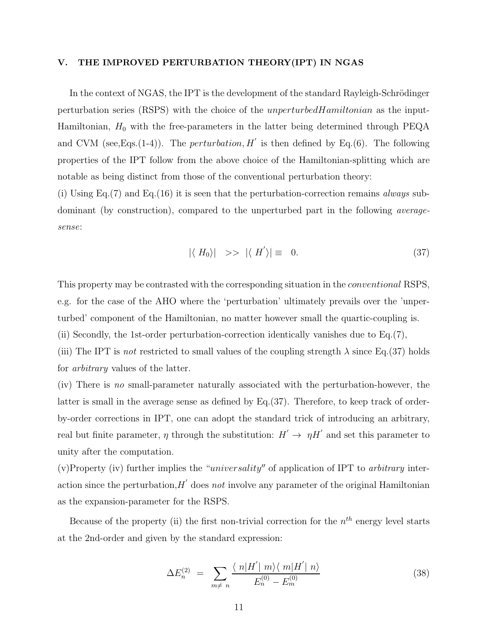## V. THE IMPROVED PERTURBATION THEORY(IPT) IN NGAS

In the context of NGAS, the IPT is the development of the standard Rayleigh-Schrödinger perturbation series (RSPS) with the choice of the unperturbedHamiltonian as the input-Hamiltonian,  $H_0$  with the free-parameters in the latter being determined through PEQA and CVM (see, Eqs. (1-4)). The *perturbation*,  $H'$  is then defined by Eq. (6). The following properties of the IPT follow from the above choice of the Hamiltonian-splitting which are notable as being distinct from those of the conventional perturbation theory:

(i) Using Eq.(7) and Eq.(16) it is seen that the perturbation-correction remains *always* subdominant (by construction), compared to the unperturbed part in the following averagesense:

$$
|\langle H_0 \rangle| \>>> |\langle H' \rangle| \equiv 0. \tag{37}
$$

This property may be contrasted with the corresponding situation in the conventional RSPS, e.g. for the case of the AHO where the 'perturbation' ultimately prevails over the 'unperturbed' component of the Hamiltonian, no matter however small the quartic-coupling is.

(ii) Secondly, the 1st-order perturbation-correction identically vanishes due to Eq.(7),

(iii) The IPT is not restricted to small values of the coupling strength  $\lambda$  since Eq.(37) holds for arbitrary values of the latter.

(iv) There is no small-parameter naturally associated with the perturbation-however, the latter is small in the average sense as defined by Eq.(37). Therefore, to keep track of orderby-order corrections in IPT, one can adopt the standard trick of introducing an arbitrary, real but finite parameter,  $\eta$  through the substitution:  $H' \to \eta H'$  and set this parameter to unity after the computation.

(v)Property (iv) further implies the "*universality*" of application of IPT to *arbitrary* interaction since the perturbation,  $H'$  does not involve any parameter of the original Hamiltonian as the expansion-parameter for the RSPS.

Because of the property (ii) the first non-trivial correction for the  $n^{th}$  energy level starts at the 2nd-order and given by the standard expression:

$$
\Delta E_n^{(2)} = \sum_{m \neq n} \frac{\langle n | H' | m \rangle \langle m | H' | n \rangle}{E_n^{(0)} - E_m^{(0)}}
$$
(38)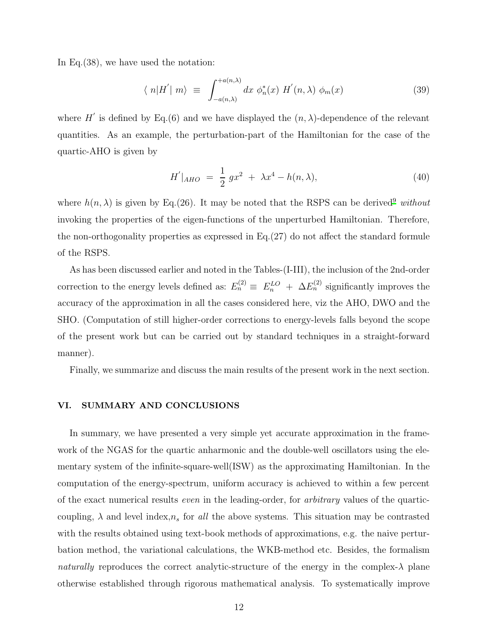In Eq.(38), we have used the notation:

$$
\langle n|H'|m\rangle \equiv \int_{-a(n,\lambda)}^{+a(n,\lambda)} dx \phi_n^*(x) H'(n,\lambda) \phi_m(x) \tag{39}
$$

where H' is defined by Eq.(6) and we have displayed the  $(n, \lambda)$ -dependence of the relevant quantities. As an example, the perturbation-part of the Hamiltonian for the case of the quartic-AHO is given by

$$
H'|_{AHO} = \frac{1}{2} g x^2 + \lambda x^4 - h(n, \lambda), \tag{40}
$$

where  $h(n, \lambda)$  is given by Eq.(26). It may be noted that the RSPS can be derived<sup>[9](#page-13-4)</sup> without invoking the properties of the eigen-functions of the unperturbed Hamiltonian. Therefore, the non-orthogonality properties as expressed in Eq.(27) do not affect the standard formule of the RSPS.

As has been discussed earlier and noted in the Tables-(I-III), the inclusion of the 2nd-order correction to the energy levels defined as:  $E_n^{(2)} \equiv E_n^{LO} + \Delta E_n^{(2)}$  significantly improves the accuracy of the approximation in all the cases considered here, viz the AHO, DWO and the SHO. (Computation of still higher-order corrections to energy-levels falls beyond the scope of the present work but can be carried out by standard techniques in a straight-forward manner).

Finally, we summarize and discuss the main results of the present work in the next section.

## VI. SUMMARY AND CONCLUSIONS

In summary, we have presented a very simple yet accurate approximation in the framework of the NGAS for the quartic anharmonic and the double-well oscillators using the elementary system of the infinite-square-well(ISW) as the approximating Hamiltonian. In the computation of the energy-spectrum, uniform accuracy is achieved to within a few percent of the exact numerical results even in the leading-order, for arbitrary values of the quarticcoupling,  $\lambda$  and level index, $n_s$  for all the above systems. This situation may be contrasted with the results obtained using text-book methods of approximations, e.g. the naive perturbation method, the variational calculations, the WKB-method etc. Besides, the formalism naturally reproduces the correct analytic-structure of the energy in the complex- $\lambda$  plane otherwise established through rigorous mathematical analysis. To systematically improve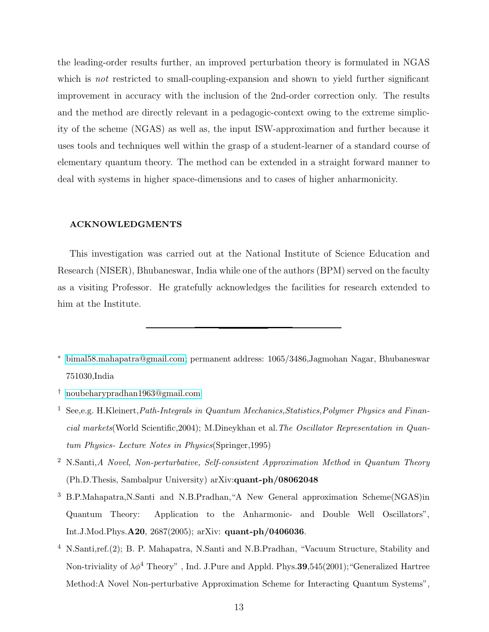the leading-order results further, an improved perturbation theory is formulated in NGAS which is *not* restricted to small-coupling-expansion and shown to yield further significant improvement in accuracy with the inclusion of the 2nd-order correction only. The results and the method are directly relevant in a pedagogic-context owing to the extreme simplicity of the scheme (NGAS) as well as, the input ISW-approximation and further because it uses tools and techniques well within the grasp of a student-learner of a standard course of elementary quantum theory. The method can be extended in a straight forward manner to deal with systems in higher space-dimensions and to cases of higher anharmonicity.

## ACKNOWLEDGMENTS

This investigation was carried out at the National Institute of Science Education and Research (NISER), Bhubaneswar, India while one of the authors (BPM) served on the faculty as a visiting Professor. He gratefully acknowledges the facilities for research extended to him at the Institute.

- <span id="page-12-1"></span>† [noubeharypradhan1963@gmail.com](mailto:noubeharypradhan1963@gmail.com)
- <span id="page-12-2"></span><sup>1</sup> See,e.g. H.Kleinert, Path-Integrals in Quantum Mechanics, Statistics, Polymer Physics and Financial markets(World Scientific,2004); M.Dineykhan et al.The Oscillator Representation in Quantum Physics- Lecture Notes in Physics(Springer,1995)
- <span id="page-12-3"></span><sup>2</sup> N.Santi,A Novel, Non-perturbative, Self-consistent Approximation Method in Quantum Theory (Ph.D.Thesis, Sambalpur University) arXiv:quant-ph/08062048
- <span id="page-12-4"></span><sup>3</sup> B.P.Mahapatra,N.Santi and N.B.Pradhan,"A New General approximation Scheme(NGAS)in Quantum Theory: Application to the Anharmonic- and Double Well Oscillators", Int.J.Mod.Phys.A20, 2687(2005); arXiv: quant-ph/0406036.
- <span id="page-12-5"></span><sup>4</sup> N.Santi,ref.(2); B. P. Mahapatra, N.Santi and N.B.Pradhan, "Vacuum Structure, Stability and Non-triviality of  $\lambda \phi^4$  Theory", Ind. J.Pure and Appld. Phys. 39,545(2001); "Generalized Hartree Method:A Novel Non-perturbative Approximation Scheme for Interacting Quantum Systems",

<span id="page-12-0"></span><sup>∗</sup> [bimal58.mahapatra@gmail.com;](mailto:bimal58.mahapatra@gmail.com) permanent address: 1065/3486,Jagmohan Nagar, Bhubaneswar 751030,India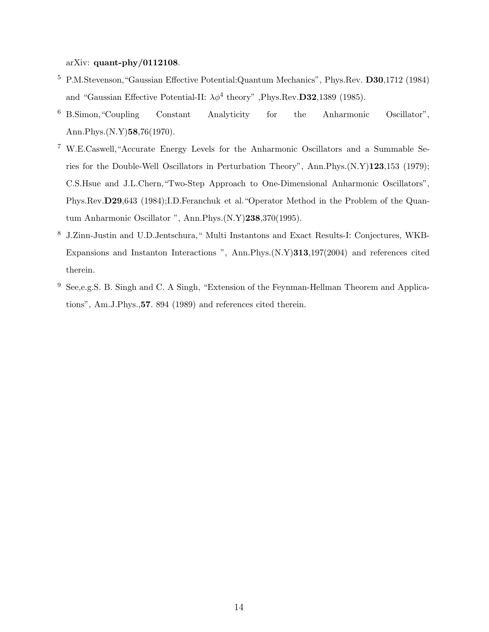## arXiv: quant-phy/0112108.

- <span id="page-13-0"></span><sup>5</sup> P.M.Stevenson,"Gaussian Effective Potential:Quantum Mechanics", Phys.Rev. D30,1712 (1984) and "Gaussian Effective Potential-II:  $\lambda \phi^4$  theory", Phys.Rev.D32,1389 (1985).
- <span id="page-13-1"></span><sup>6</sup> B.Simon,"Coupling Constant Analyticity for the Anharmonic Oscillator", Ann.Phys.(N.Y)58,76(1970).
- <span id="page-13-3"></span><sup>7</sup> W.E.Caswell,"Accurate Energy Levels for the Anharmonic Oscillators and a Summable Series for the Double-Well Oscillators in Perturbation Theory", Ann.Phys.(N.Y)123,153 (1979); C.S.Hsue and J.L.Chern,"Two-Step Approach to One-Dimensional Anharmonic Oscillators", Phys.Rev.D29,643 (1984);I.D.Feranchuk et al."Operator Method in the Problem of the Quantum Anharmonic Oscillator ", Ann.Phys.(N.Y)238,370(1995).
- <span id="page-13-2"></span><sup>8</sup> J.Zinn-Justin and U.D.Jentschura," Multi Instantons and Exact Results-I: Conjectures, WKB-Expansions and Instanton Interactions ", Ann.Phys.(N.Y)313,197(2004) and references cited therein.
- <span id="page-13-4"></span><sup>9</sup> See,e.g.S. B. Singh and C. A Singh, "Extension of the Feynman-Hellman Theorem and Applications", Am.J.Phys.,57. 894 (1989) and references cited therein.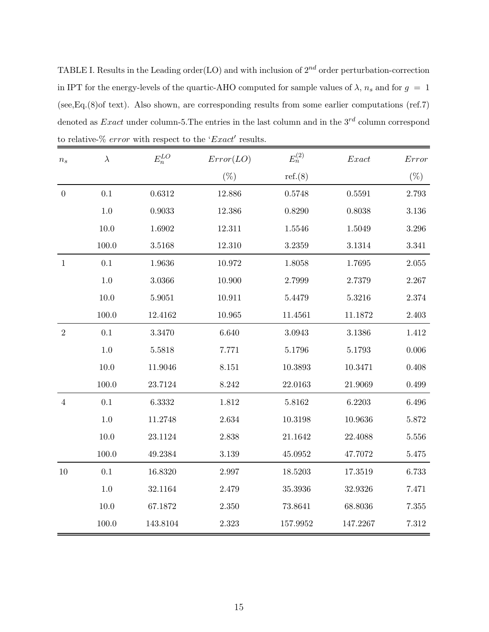TABLE I. Results in the Leading order(LO) and with inclusion of  $2^{nd}$  order perturbation-correction in IPT for the energy-levels of the quartic-AHO computed for sample values of  $\lambda$ ,  $n_s$  and for  $g = 1$ (see,Eq.(8)of text). Also shown, are corresponding results from some earlier computations (ref.7) denoted as  $Exact$  under column-5. The entries in the last column and in the  $3^{rd}$  column correspond to relative- $\%$  error with respect to the ' $Exact'$  results.

| $\boldsymbol{n_s}$ | $\lambda$ | $E_n^{LO}$ | Error(LO) | $E_n^{(2)}$ | Exact      | Error              |
|--------------------|-----------|------------|-----------|-------------|------------|--------------------|
|                    |           |            | $(\%)$    | ref.(8)     |            | $(\%)$             |
| $\boldsymbol{0}$   | 0.1       | 0.6312     | 12.886    | 0.5748      | 0.5591     | 2.793              |
|                    | $1.0\,$   | 0.9033     | 12.386    | 0.8290      | 0.8038     | $3.136\,$          |
|                    | $10.0\,$  | $1.6902\,$ | 12.311    | 1.5546      | 1.5049     | $3.296\,$          |
|                    | 100.0     | 3.5168     | 12.310    | 3.2359      | $3.1314\,$ | $3.341\,$          |
| $\mathbf{1}$       | 0.1       | 1.9636     | 10.972    | 1.8058      | 1.7695     | $2.055\,$          |
|                    | $1.0\,$   | $3.0366\,$ | 10.900    | 2.7999      | 2.7379     | 2.267              |
|                    | $10.0$    | $5.9051\,$ | 10.911    | 5.4479      | 5.3216     | $\phantom{-}2.374$ |
|                    | 100.0     | 12.4162    | 10.965    | 11.4561     | 11.1872    | $2.403\,$          |
| $\sqrt{2}$         | $0.1\,$   | 3.3470     | $6.640\,$ | 3.0943      | 3.1386     | $1.412\,$          |
|                    | $1.0\,$   | $5.5818\,$ | 7.771     | 5.1796      | 5.1793     | $0.006\,$          |
|                    | $10.0\,$  | 11.9046    | $8.151\,$ | 10.3893     | 10.3471    | 0.408              |
|                    | $100.0\,$ | 23.7124    | $8.242\,$ | 22.0163     | 21.9069    | 0.499              |
| $\sqrt{4}$         | $0.1\,$   | 6.3332     | 1.812     | 5.8162      | 6.2203     | $6.496\,$          |
|                    | 1.0       | 11.2748    | 2.634     | 10.3198     | 10.9636    | $5.872\,$          |
|                    | $10.0\,$  | 23.1124    | $2.838\,$ | 21.1642     | 22.4088    | $5.556\,$          |
|                    | 100.0     | 49.2384    | $3.139\,$ | 45.0952     | 47.7072    | $5.475\,$          |
| 10                 | $0.1\,$   | 16.8320    | 2.997     | 18.5203     | 17.3519    | 6.733              |
|                    | $1.0\,$   | 32.1164    | 2.479     | 35.3936     | 32.9326    | 7.471              |
|                    | $10.0\,$  | 67.1872    | $2.350\,$ | 73.8641     | 68.8036    | $7.355\,$          |
|                    | $100.0\,$ | 143.8104   | $2.323\,$ | 157.9952    | 147.2267   | $7.312\,$          |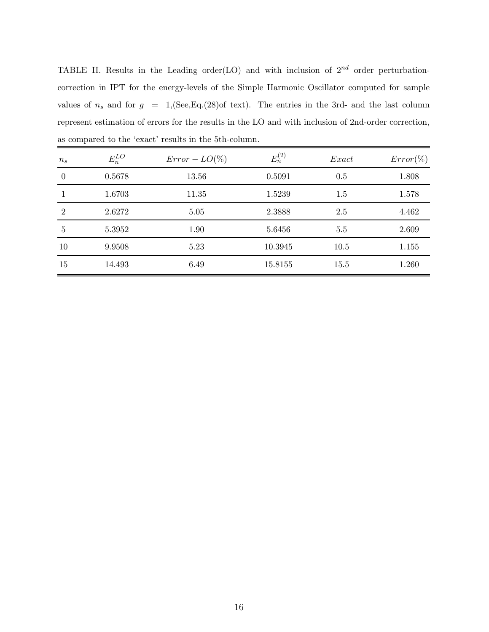TABLE II. Results in the Leading order(LO) and with inclusion of  $2^{nd}$  order perturbationcorrection in IPT for the energy-levels of the Simple Harmonic Oscillator computed for sample values of  $n_s$  and for  $g = 1$ , (See, Eq.(28)of text). The entries in the 3rd- and the last column represent estimation of errors for the results in the LO and with inclusion of 2nd-order correction, as compared to the 'exact' results in the 5th-column.

| $n_{s}$        | $E_n^{LO}$ | $Error - LO(\%)$ | $E_n^{(2)}$ | Exact | $Error(\%)$ |
|----------------|------------|------------------|-------------|-------|-------------|
| $\theta$       | 0.5678     | 13.56            | 0.5091      | 0.5   | 1.808       |
|                | 1.6703     | 11.35            | 1.5239      | 1.5   | 1.578       |
| $\overline{2}$ | 2.6272     | 5.05             | 2.3888      | 2.5   | 4.462       |
| 5              | 5.3952     | 1.90             | 5.6456      | 5.5   | 2.609       |
| 10             | 9.9508     | 5.23             | 10.3945     | 10.5  | 1.155       |
| 15             | 14.493     | 6.49             | 15.8155     | 15.5  | 1.260       |